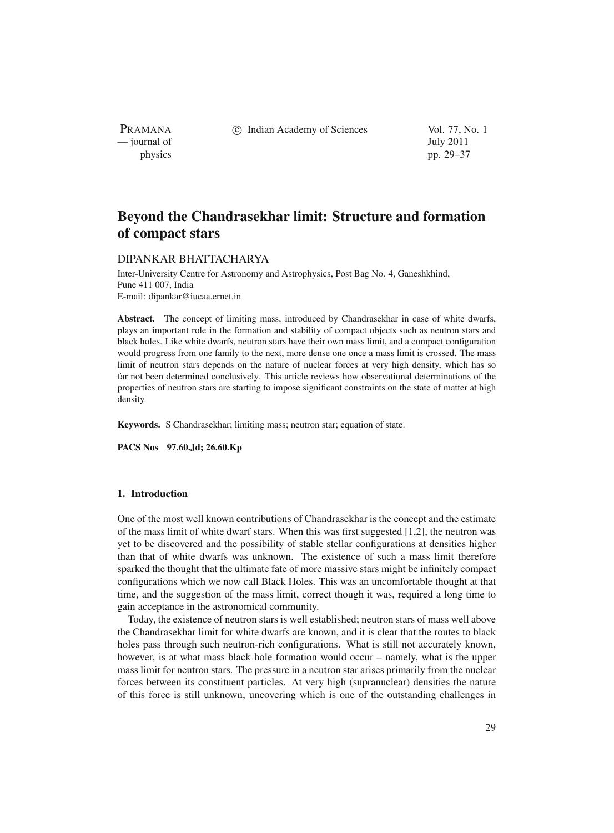PRAMANA — journal of July 2011

c Indian Academy of Sciences Vol. 77, No. 1

physics pp. 29–37

# **Beyond the Chandrasekhar limit: Structure and formation of compact stars**

# DIPANKAR BHATTACHARYA

Inter-University Centre for Astronomy and Astrophysics, Post Bag No. 4, Ganeshkhind, Pune 411 007, India E-mail: dipankar@iucaa.ernet.in

**Abstract.** The concept of limiting mass, introduced by Chandrasekhar in case of white dwarfs, plays an important role in the formation and stability of compact objects such as neutron stars and black holes. Like white dwarfs, neutron stars have their own mass limit, and a compact configuration would progress from one family to the next, more dense one once a mass limit is crossed. The mass limit of neutron stars depends on the nature of nuclear forces at very high density, which has so far not been determined conclusively. This article reviews how observational determinations of the properties of neutron stars are starting to impose significant constraints on the state of matter at high density.

**Keywords.** S Chandrasekhar; limiting mass; neutron star; equation of state.

**PACS Nos 97.60.Jd; 26.60.Kp**

# **1. Introduction**

One of the most well known contributions of Chandrasekhar is the concept and the estimate of the mass limit of white dwarf stars. When this was first suggested [1,2], the neutron was yet to be discovered and the possibility of stable stellar configurations at densities higher than that of white dwarfs was unknown. The existence of such a mass limit therefore sparked the thought that the ultimate fate of more massive stars might be infinitely compact configurations which we now call Black Holes. This was an uncomfortable thought at that time, and the suggestion of the mass limit, correct though it was, required a long time to gain acceptance in the astronomical community.

Today, the existence of neutron stars is well established; neutron stars of mass well above the Chandrasekhar limit for white dwarfs are known, and it is clear that the routes to black holes pass through such neutron-rich configurations. What is still not accurately known, however, is at what mass black hole formation would occur – namely, what is the upper mass limit for neutron stars. The pressure in a neutron star arises primarily from the nuclear forces between its constituent particles. At very high (supranuclear) densities the nature of this force is still unknown, uncovering which is one of the outstanding challenges in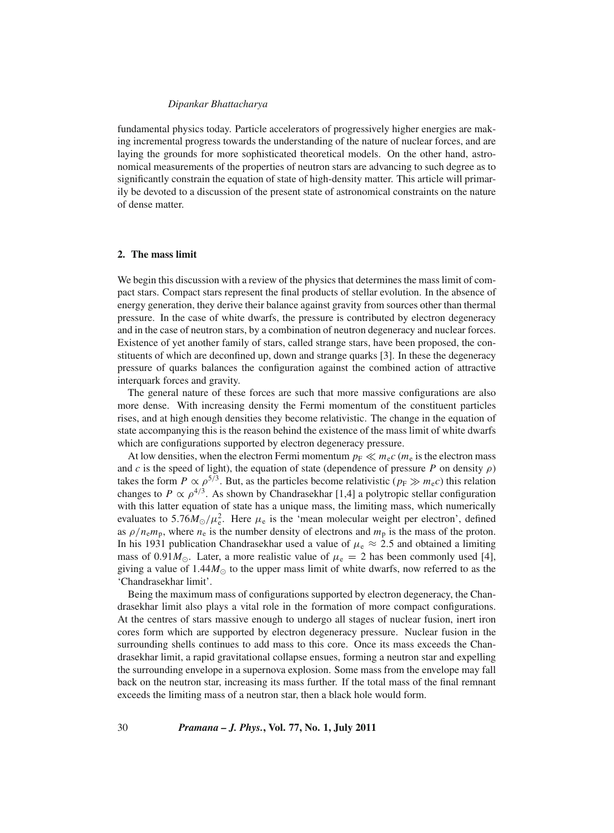fundamental physics today. Particle accelerators of progressively higher energies are making incremental progress towards the understanding of the nature of nuclear forces, and are laying the grounds for more sophisticated theoretical models. On the other hand, astronomical measurements of the properties of neutron stars are advancing to such degree as to significantly constrain the equation of state of high-density matter. This article will primarily be devoted to a discussion of the present state of astronomical constraints on the nature of dense matter.

# **2. The mass limit**

We begin this discussion with a review of the physics that determines the mass limit of compact stars. Compact stars represent the final products of stellar evolution. In the absence of energy generation, they derive their balance against gravity from sources other than thermal pressure. In the case of white dwarfs, the pressure is contributed by electron degeneracy and in the case of neutron stars, by a combination of neutron degeneracy and nuclear forces. Existence of yet another family of stars, called strange stars, have been proposed, the constituents of which are deconfined up, down and strange quarks [3]. In these the degeneracy pressure of quarks balances the configuration against the combined action of attractive interquark forces and gravity.

The general nature of these forces are such that more massive configurations are also more dense. With increasing density the Fermi momentum of the constituent particles rises, and at high enough densities they become relativistic. The change in the equation of state accompanying this is the reason behind the existence of the mass limit of white dwarfs which are configurations supported by electron degeneracy pressure.

At low densities, when the electron Fermi momentum  $p_F \ll m_e c$  ( $m_e$  is the electron mass and *c* is the speed of light), the equation of state (dependence of pressure *P* on density  $\rho$ ) takes the form  $P \propto \rho^{5/3}$ . But, as the particles become relativistic ( $p_F \gg m_ec$ ) this relation changes to  $P \propto \rho^{4/3}$ . As shown by Chandrasekhar [1,4] a polytropic stellar configuration with this latter equation of state has a unique mass, the limiting mass, which numerically evaluates to  $5.76M_{\odot}/\mu_e^2$ . Here  $\mu_e$  is the 'mean molecular weight per electron', defined as  $\rho/n_{\rm e}m_{\rm p}$ , where  $n_{\rm e}$  is the number density of electrons and  $m_{\rm p}$  is the mass of the proton. In his 1931 publication Chandrasekhar used a value of  $\mu$ <sub>e</sub>  $\approx$  2.5 and obtained a limiting mass of 0.91 $M_{\odot}$ . Later, a more realistic value of  $\mu_{\rm e} = 2$  has been commonly used [4], giving a value of  $1.44M_{\odot}$  to the upper mass limit of white dwarfs, now referred to as the 'Chandrasekhar limit'.

Being the maximum mass of configurations supported by electron degeneracy, the Chandrasekhar limit also plays a vital role in the formation of more compact configurations. At the centres of stars massive enough to undergo all stages of nuclear fusion, inert iron cores form which are supported by electron degeneracy pressure. Nuclear fusion in the surrounding shells continues to add mass to this core. Once its mass exceeds the Chandrasekhar limit, a rapid gravitational collapse ensues, forming a neutron star and expelling the surrounding envelope in a supernova explosion. Some mass from the envelope may fall back on the neutron star, increasing its mass further. If the total mass of the final remnant exceeds the limiting mass of a neutron star, then a black hole would form.

30 *Pramana – J. Phys.***, Vol. 77, No. 1, July 2011**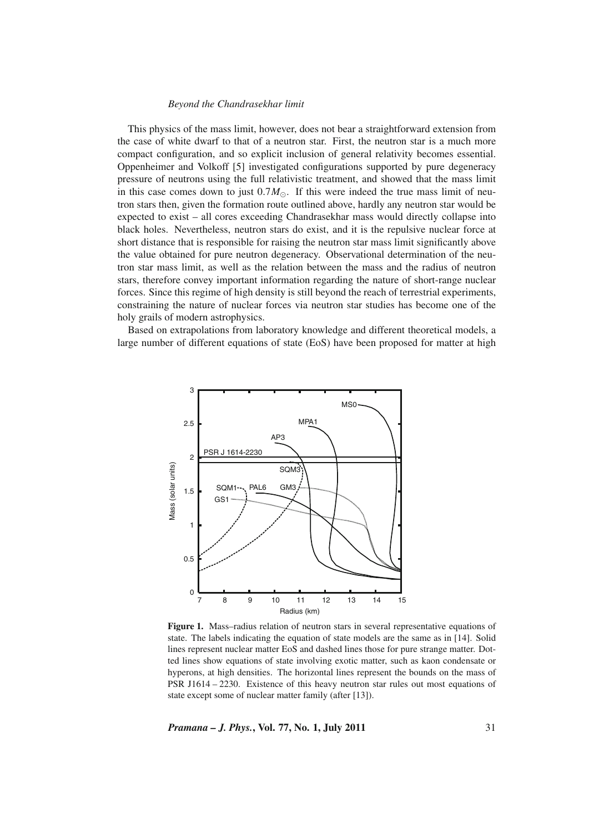This physics of the mass limit, however, does not bear a straightforward extension from the case of white dwarf to that of a neutron star. First, the neutron star is a much more compact configuration, and so explicit inclusion of general relativity becomes essential. Oppenheimer and Volkoff [5] investigated configurations supported by pure degeneracy pressure of neutrons using the full relativistic treatment, and showed that the mass limit in this case comes down to just  $0.7M_{\odot}$ . If this were indeed the true mass limit of neutron stars then, given the formation route outlined above, hardly any neutron star would be expected to exist – all cores exceeding Chandrasekhar mass would directly collapse into black holes. Nevertheless, neutron stars do exist, and it is the repulsive nuclear force at short distance that is responsible for raising the neutron star mass limit significantly above the value obtained for pure neutron degeneracy. Observational determination of the neutron star mass limit, as well as the relation between the mass and the radius of neutron stars, therefore convey important information regarding the nature of short-range nuclear forces. Since this regime of high density is still beyond the reach of terrestrial experiments, constraining the nature of nuclear forces via neutron star studies has become one of the holy grails of modern astrophysics.

Based on extrapolations from laboratory knowledge and different theoretical models, a large number of different equations of state (EoS) have been proposed for matter at high



**Figure 1.** Mass–radius relation of neutron stars in several representative equations of state. The labels indicating the equation of state models are the same as in [14]. Solid lines represent nuclear matter EoS and dashed lines those for pure strange matter. Dotted lines show equations of state involving exotic matter, such as kaon condensate or hyperons, at high densities. The horizontal lines represent the bounds on the mass of PSR J1614 – 2230. Existence of this heavy neutron star rules out most equations of state except some of nuclear matter family (after [13]).

*Pramana – J. Phys.***, Vol. 77, No. 1, July 2011** 31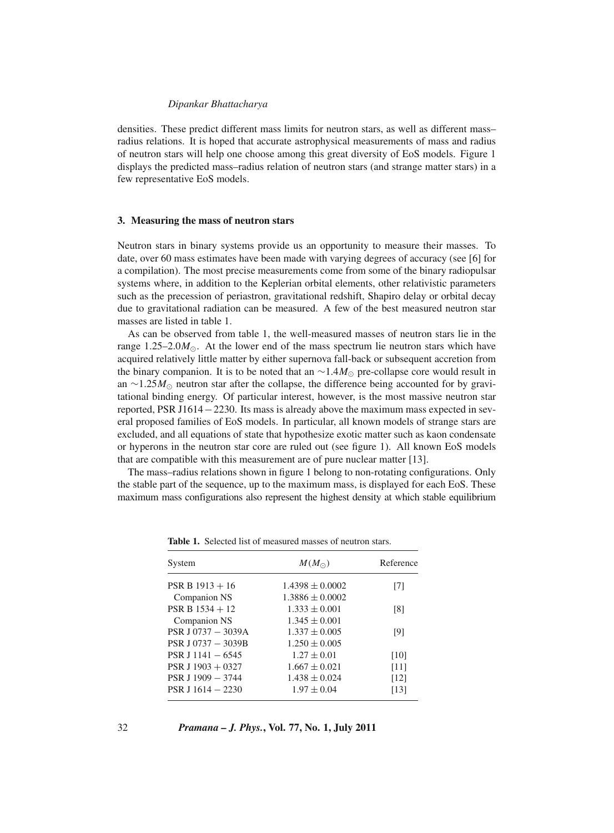densities. These predict different mass limits for neutron stars, as well as different mass– radius relations. It is hoped that accurate astrophysical measurements of mass and radius of neutron stars will help one choose among this great diversity of EoS models. Figure 1 displays the predicted mass–radius relation of neutron stars (and strange matter stars) in a few representative EoS models.

#### **3. Measuring the mass of neutron stars**

Neutron stars in binary systems provide us an opportunity to measure their masses. To date, over 60 mass estimates have been made with varying degrees of accuracy (see [6] for a compilation). The most precise measurements come from some of the binary radiopulsar systems where, in addition to the Keplerian orbital elements, other relativistic parameters such as the precession of periastron, gravitational redshift, Shapiro delay or orbital decay due to gravitational radiation can be measured. A few of the best measured neutron star masses are listed in table 1.

As can be observed from table 1, the well-measured masses of neutron stars lie in the range  $1.25-2.0M_{\odot}$ . At the lower end of the mass spectrum lie neutron stars which have acquired relatively little matter by either supernova fall-back or subsequent accretion from the binary companion. It is to be noted that an  $\sim$ 1.4 $M_{\odot}$  pre-collapse core would result in an ∼1.25*M*<sub>⊙</sub> neutron star after the collapse, the difference being accounted for by gravitational binding energy. Of particular interest, however, is the most massive neutron star reported, PSR J1614−2230. Its mass is already above the maximum mass expected in several proposed families of EoS models. In particular, all known models of strange stars are excluded, and all equations of state that hypothesize exotic matter such as kaon condensate or hyperons in the neutron star core are ruled out (see figure 1). All known EoS models that are compatible with this measurement are of pure nuclear matter [13].

The mass–radius relations shown in figure 1 belong to non-rotating configurations. Only the stable part of the sequence, up to the maximum mass, is displayed for each EoS. These maximum mass configurations also represent the highest density at which stable equilibrium

| System               | $M(M_{\odot})$      | Reference |
|----------------------|---------------------|-----------|
| PSR B $1913 + 16$    | $1.4398 \pm 0.0002$ | [7]       |
| Companion NS         | $1.3886 \pm 0.0002$ |           |
| PSR B $1534 + 12$    | $1.333 \pm 0.001$   | [8]       |
| Companion NS         | $1.345 \pm 0.001$   |           |
| PSR J $0737 - 3039A$ | $1.337 \pm 0.005$   | [9]       |
| PSR J $0737 - 3039B$ | $1.250 \pm 0.005$   |           |
| $PSR J 1141 - 6545$  | $1.27 \pm 0.01$     | [10]      |
| PSR J $1903 + 0327$  | $1.667 \pm 0.021$   | [11]      |
| $PSR J 1909 - 3744$  | $1.438 \pm 0.024$   | [12]      |
| $PSR J 1614 - 2230$  | $1.97 \pm 0.04$     | [13]      |
|                      |                     |           |

**Table 1.** Selected list of measured masses of neutron stars.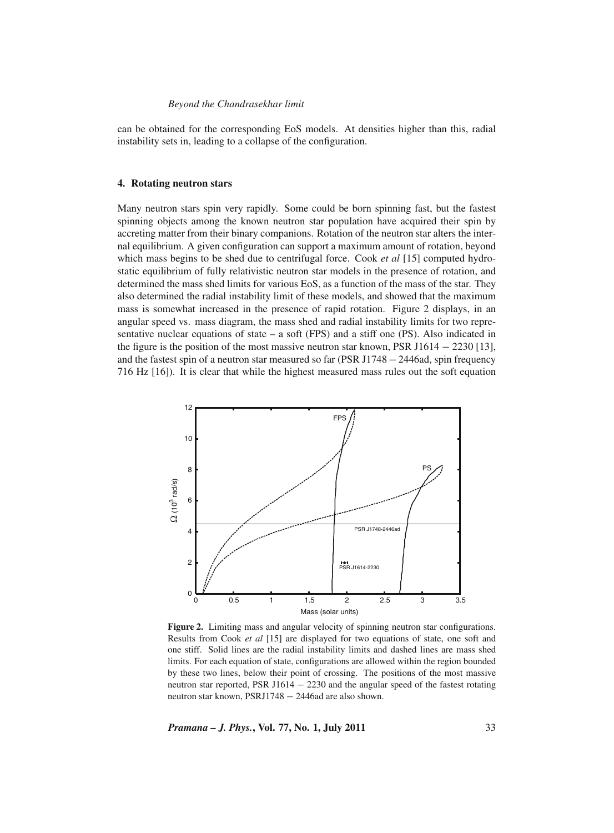can be obtained for the corresponding EoS models. At densities higher than this, radial instability sets in, leading to a collapse of the configuration.

# **4. Rotating neutron stars**

Many neutron stars spin very rapidly. Some could be born spinning fast, but the fastest spinning objects among the known neutron star population have acquired their spin by accreting matter from their binary companions. Rotation of the neutron star alters the internal equilibrium. A given configuration can support a maximum amount of rotation, beyond which mass begins to be shed due to centrifugal force. Cook *et al* [15] computed hydrostatic equilibrium of fully relativistic neutron star models in the presence of rotation, and determined the mass shed limits for various EoS, as a function of the mass of the star. They also determined the radial instability limit of these models, and showed that the maximum mass is somewhat increased in the presence of rapid rotation. Figure 2 displays, in an angular speed vs. mass diagram, the mass shed and radial instability limits for two representative nuclear equations of state  $-$  a soft (FPS) and a stiff one (PS). Also indicated in the figure is the position of the most massive neutron star known, PSR J1614  $-$  2230 [13], and the fastest spin of a neutron star measured so far (PSR J1748−2446ad, spin frequency 716 Hz [16]). It is clear that while the highest measured mass rules out the soft equation



**Figure 2.** Limiting mass and angular velocity of spinning neutron star configurations. Results from Cook *et al* [15] are displayed for two equations of state, one soft and one stiff. Solid lines are the radial instability limits and dashed lines are mass shed limits. For each equation of state, configurations are allowed within the region bounded by these two lines, below their point of crossing. The positions of the most massive neutron star reported, PSR J1614 − 2230 and the angular speed of the fastest rotating neutron star known, PSRJ1748 − 2446ad are also shown.

*Pramana – J. Phys.***, Vol. 77, No. 1, July 2011** 33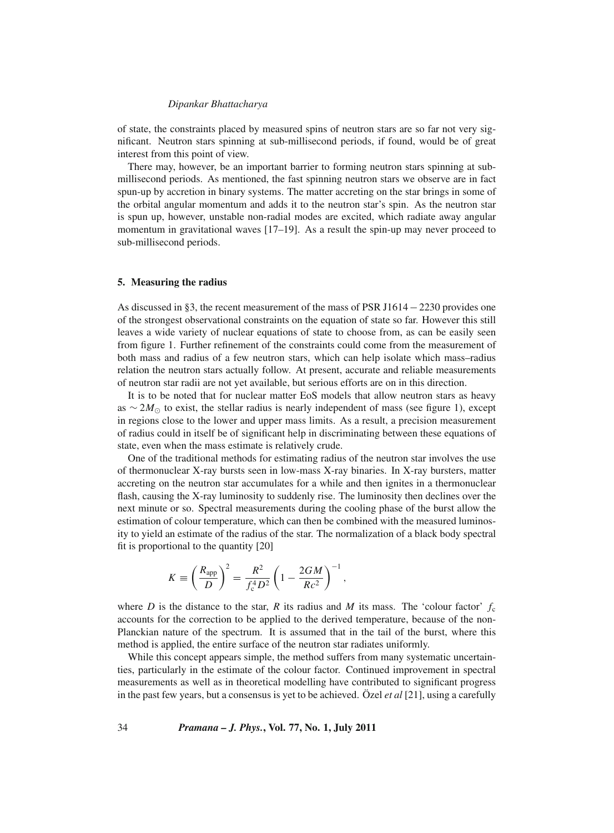of state, the constraints placed by measured spins of neutron stars are so far not very significant. Neutron stars spinning at sub-millisecond periods, if found, would be of great interest from this point of view.

There may, however, be an important barrier to forming neutron stars spinning at submillisecond periods. As mentioned, the fast spinning neutron stars we observe are in fact spun-up by accretion in binary systems. The matter accreting on the star brings in some of the orbital angular momentum and adds it to the neutron star's spin. As the neutron star is spun up, however, unstable non-radial modes are excited, which radiate away angular momentum in gravitational waves [17–19]. As a result the spin-up may never proceed to sub-millisecond periods.

# **5. Measuring the radius**

As discussed in §3, the recent measurement of the mass of PSR J1614−2230 provides one of the strongest observational constraints on the equation of state so far. However this still leaves a wide variety of nuclear equations of state to choose from, as can be easily seen from figure 1. Further refinement of the constraints could come from the measurement of both mass and radius of a few neutron stars, which can help isolate which mass–radius relation the neutron stars actually follow. At present, accurate and reliable measurements of neutron star radii are not yet available, but serious efforts are on in this direction.

It is to be noted that for nuclear matter EoS models that allow neutron stars as heavy as ∼ 2*M*<sub>⊙</sub> to exist, the stellar radius is nearly independent of mass (see figure 1), except in regions close to the lower and upper mass limits. As a result, a precision measurement of radius could in itself be of significant help in discriminating between these equations of state, even when the mass estimate is relatively crude.

One of the traditional methods for estimating radius of the neutron star involves the use of thermonuclear X-ray bursts seen in low-mass X-ray binaries. In X-ray bursters, matter accreting on the neutron star accumulates for a while and then ignites in a thermonuclear flash, causing the X-ray luminosity to suddenly rise. The luminosity then declines over the next minute or so. Spectral measurements during the cooling phase of the burst allow the estimation of colour temperature, which can then be combined with the measured luminosity to yield an estimate of the radius of the star. The normalization of a black body spectral fit is proportional to the quantity [20]

$$
K \equiv \left(\frac{R_{\rm app}}{D}\right)^2 = \frac{R^2}{f_c^4 D^2} \left(1 - \frac{2GM}{Rc^2}\right)^{-1},
$$

where *D* is the distance to the star, *R* its radius and *M* its mass. The 'colour factor'  $f_c$ accounts for the correction to be applied to the derived temperature, because of the non-Planckian nature of the spectrum. It is assumed that in the tail of the burst, where this method is applied, the entire surface of the neutron star radiates uniformly.

While this concept appears simple, the method suffers from many systematic uncertainties, particularly in the estimate of the colour factor. Continued improvement in spectral measurements as well as in theoretical modelling have contributed to significant progress in the past few years, but a consensus is yet to be achieved. Özel *et al* [21], using a carefully

34 *Pramana – J. Phys.***, Vol. 77, No. 1, July 2011**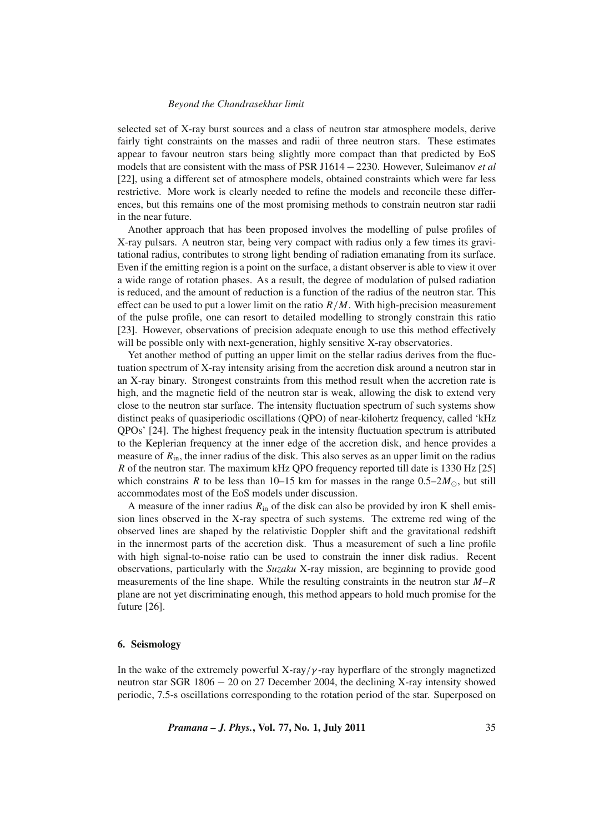selected set of X-ray burst sources and a class of neutron star atmosphere models, derive fairly tight constraints on the masses and radii of three neutron stars. These estimates appear to favour neutron stars being slightly more compact than that predicted by EoS models that are consistent with the mass of PSR J1614 − 2230. However, Suleimanov *et al* [22], using a different set of atmosphere models, obtained constraints which were far less restrictive. More work is clearly needed to refine the models and reconcile these differences, but this remains one of the most promising methods to constrain neutron star radii in the near future.

Another approach that has been proposed involves the modelling of pulse profiles of X-ray pulsars. A neutron star, being very compact with radius only a few times its gravitational radius, contributes to strong light bending of radiation emanating from its surface. Even if the emitting region is a point on the surface, a distant observer is able to view it over a wide range of rotation phases. As a result, the degree of modulation of pulsed radiation is reduced, and the amount of reduction is a function of the radius of the neutron star. This effect can be used to put a lower limit on the ratio *R*/*M*. With high-precision measurement of the pulse profile, one can resort to detailed modelling to strongly constrain this ratio [23]. However, observations of precision adequate enough to use this method effectively will be possible only with next-generation, highly sensitive X-ray observatories.

Yet another method of putting an upper limit on the stellar radius derives from the fluctuation spectrum of X-ray intensity arising from the accretion disk around a neutron star in an X-ray binary. Strongest constraints from this method result when the accretion rate is high, and the magnetic field of the neutron star is weak, allowing the disk to extend very close to the neutron star surface. The intensity fluctuation spectrum of such systems show distinct peaks of quasiperiodic oscillations (QPO) of near-kilohertz frequency, called 'kHz QPOs' [24]. The highest frequency peak in the intensity fluctuation spectrum is attributed to the Keplerian frequency at the inner edge of the accretion disk, and hence provides a measure of  $R_{\text{in}}$ , the inner radius of the disk. This also serves as an upper limit on the radius *R* of the neutron star. The maximum kHz QPO frequency reported till date is 1330 Hz [25] which constrains *R* to be less than 10–15 km for masses in the range  $0.5-2M_{\odot}$ , but still accommodates most of the EoS models under discussion.

A measure of the inner radius  $R_{\text{in}}$  of the disk can also be provided by iron K shell emission lines observed in the X-ray spectra of such systems. The extreme red wing of the observed lines are shaped by the relativistic Doppler shift and the gravitational redshift in the innermost parts of the accretion disk. Thus a measurement of such a line profile with high signal-to-noise ratio can be used to constrain the inner disk radius. Recent observations, particularly with the *Suzaku* X-ray mission, are beginning to provide good measurements of the line shape. While the resulting constraints in the neutron star *M*–*R* plane are not yet discriminating enough, this method appears to hold much promise for the future [26].

# **6. Seismology**

In the wake of the extremely powerful X-ray/ $\gamma$ -ray hyperflare of the strongly magnetized neutron star SGR 1806 − 20 on 27 December 2004, the declining X-ray intensity showed periodic, 7.5-s oscillations corresponding to the rotation period of the star. Superposed on

*Pramana – J. Phys.***, Vol. 77, No. 1, July 2011** 35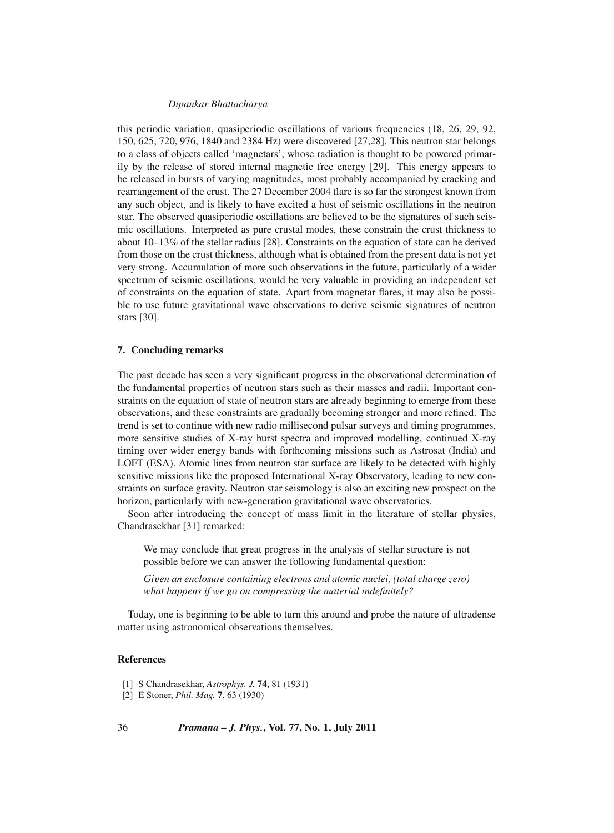this periodic variation, quasiperiodic oscillations of various frequencies (18, 26, 29, 92, 150, 625, 720, 976, 1840 and 2384 Hz) were discovered [27,28]. This neutron star belongs to a class of objects called 'magnetars', whose radiation is thought to be powered primarily by the release of stored internal magnetic free energy [29]. This energy appears to be released in bursts of varying magnitudes, most probably accompanied by cracking and rearrangement of the crust. The 27 December 2004 flare is so far the strongest known from any such object, and is likely to have excited a host of seismic oscillations in the neutron star. The observed quasiperiodic oscillations are believed to be the signatures of such seismic oscillations. Interpreted as pure crustal modes, these constrain the crust thickness to about 10–13% of the stellar radius [28]. Constraints on the equation of state can be derived from those on the crust thickness, although what is obtained from the present data is not yet very strong. Accumulation of more such observations in the future, particularly of a wider spectrum of seismic oscillations, would be very valuable in providing an independent set of constraints on the equation of state. Apart from magnetar flares, it may also be possible to use future gravitational wave observations to derive seismic signatures of neutron stars [30].

# **7. Concluding remarks**

The past decade has seen a very significant progress in the observational determination of the fundamental properties of neutron stars such as their masses and radii. Important constraints on the equation of state of neutron stars are already beginning to emerge from these observations, and these constraints are gradually becoming stronger and more refined. The trend is set to continue with new radio millisecond pulsar surveys and timing programmes, more sensitive studies of X-ray burst spectra and improved modelling, continued X-ray timing over wider energy bands with forthcoming missions such as Astrosat (India) and LOFT (ESA). Atomic lines from neutron star surface are likely to be detected with highly sensitive missions like the proposed International X-ray Observatory, leading to new constraints on surface gravity. Neutron star seismology is also an exciting new prospect on the horizon, particularly with new-generation gravitational wave observatories.

Soon after introducing the concept of mass limit in the literature of stellar physics, Chandrasekhar [31] remarked:

We may conclude that great progress in the analysis of stellar structure is not possible before we can answer the following fundamental question:

*Gi*v*en an enclosure containing electrons and atomic nuclei, (total charge zero) what happens if we go on compressing the material indefinitely?*

Today, one is beginning to be able to turn this around and probe the nature of ultradense matter using astronomical observations themselves.

# **References**

- [1] S Chandrasekhar, *Astrophys. J.* **74**, 81 (1931)
- [2] E Stoner, *Phil. Mag.* **7**, 63 (1930)

36 *Pramana – J. Phys.***, Vol. 77, No. 1, July 2011**